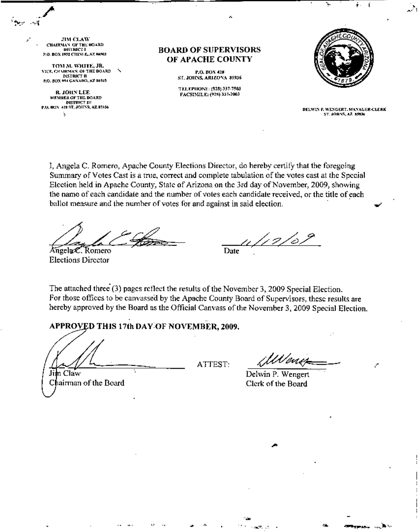**JIM CLAW CHAIRMAN OF THE BOARD DISTRICT** P.O. BOX 1952 CHINLE, AZ 86503

TOM M. WHITE, JR. VICE, CHAIRMAN, OF THE BOARD **DISTRICT II** P.O. BOX 994 GANADO, AZ 56505

R. JOHN LEE MEMBER OF THE BOARD **DISTRICT DI** P.O. BOX 428 ST. JOHNS, AZ \$5936 ķ.

**BOARD OF SUPERVISORS** OF APACHE COUNTY

> P.O. BOX 428 ST. JOHNS, ARIZONA 85936

TELEPHONE: (928) 337-7503 FACSIMILE: (928) 337-2003



DELWIN P. WENGERT, MANAGER-CLERK ST. JOHNS, AZ. 8506

I, Angela C. Romero, Apache County Elections Director, do hereby certify that the foregoing Summary of Votes Cast is a true, correct and complete tabulation of the votes cast at the Special Election held in Apache County, State of Arizona on the 3rd day of November, 2009, showing the name of each candidate and the number of votes each candidate received, or the title of each ballot measure and the number of votes for and against in said election.

Angela C. Romero **Elections Director** 

12/0. Date

The attached three (3) pages reflect the results of the November 3, 2009 Special Election. For those offices to be canvassed by the Apache County Board of Supervisors, these results are hereby approved by the Board as the Official Canvass of the November 3, 2009 Special Election.

## APPROVED THIS 17th DAY OF NOVEMBER, 2009.

Jim Claw Chairman of the Board

ATTEST:

iWanis

Delwin P. Wengert Clerk of the Board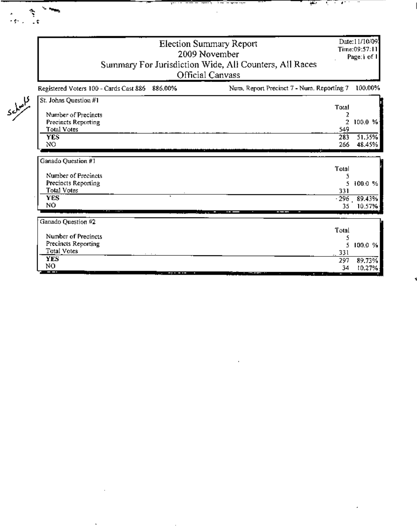|   |                                                                                                                              | <b>Election Summary Report</b><br>2009 November<br>Summary For Jurisdiction Wide, All Counters, All Races<br>Official Canvass |                                          |                                     |  |  |  |
|---|------------------------------------------------------------------------------------------------------------------------------|-------------------------------------------------------------------------------------------------------------------------------|------------------------------------------|-------------------------------------|--|--|--|
|   | Registered Voters 100 - Cards Cast 886 886.00%                                                                               | Num, Report Precinct 7 - Num. Reporting 7                                                                                     |                                          | 100.00%                             |  |  |  |
| s | St. Johns Question #1<br>Number of Precincts<br>Precincts Reporting<br>Total Votes<br><b>YES</b><br>NO<br>Ganado Question #1 |                                                                                                                               | Tota!<br>2<br>549<br>283<br>266<br>Total | $2-100.0 %$<br>51.35%<br>48.45%     |  |  |  |
|   | Number of Precincts<br>Precincts Reporting<br><b>Total Votes</b><br><b>YES</b><br>NÓ                                         |                                                                                                                               | S.<br>331<br>35.                         | 100.0%<br>$-296 - 89.43%$<br>10.57% |  |  |  |
|   | Ganado Question #2<br>Number of Precincts                                                                                    |                                                                                                                               | Total<br>5                               |                                     |  |  |  |
|   | Precincts Reporting<br><b>Total Votes</b><br><b>YES</b><br>NO                                                                |                                                                                                                               | S.<br>331<br>297<br>٦4                   | 100.0 %<br>89.73%<br>ተቡ ንግዱ         |  |  |  |

 $\bar{1}$ 

l,

 $\sim$ 

<del>- - - - - -</del>

स्थित समिति हो। य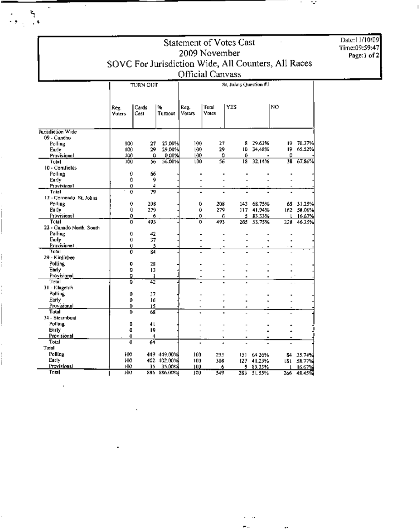| <b>Statement of Votes Cast</b>      |                                                     |                  |                       |                 |                |            |                        |                          |                      | Date:11/10/09 |  |
|-------------------------------------|-----------------------------------------------------|------------------|-----------------------|-----------------|----------------|------------|------------------------|--------------------------|----------------------|---------------|--|
|                                     | 2009 November                                       |                  |                       |                 |                |            |                        |                          |                      | Time:09:59:47 |  |
|                                     |                                                     |                  |                       |                 |                |            |                        |                          |                      |               |  |
|                                     | SOVC For Jurisdiction Wide, All Counters, All Races |                  |                       |                 |                |            |                        |                          |                      |               |  |
|                                     |                                                     | Official Canvass |                       |                 |                |            |                        |                          |                      |               |  |
|                                     |                                                     | TURN OUT         |                       |                 |                |            |                        |                          |                      |               |  |
|                                     |                                                     |                  |                       |                 |                |            |                        |                          |                      |               |  |
|                                     |                                                     |                  |                       |                 |                |            |                        |                          |                      |               |  |
|                                     | Reg.<br><b>Voters</b>                               | Cards<br>Cast    | ₩<br>Tumout           | Reg.<br>Voters. | Total<br>Votes | <b>YES</b> |                        | NO.                      |                      |               |  |
|                                     |                                                     |                  |                       |                 |                |            |                        |                          |                      |               |  |
| Jurisdiction Wide                   |                                                     |                  |                       |                 |                |            |                        |                          |                      |               |  |
| 09 - Concho                         |                                                     |                  |                       |                 |                |            |                        |                          |                      |               |  |
| Polling                             | 100                                                 | 27               | 27.00%                | 100             | 27             | 8.         | 29.63%                 | 19.                      | 70.37%               |               |  |
| Early                               | 100                                                 | 29               | 29.00%                | 100             | 29             | LD         | 34, 18%                | 19.                      | 65.52%               |               |  |
| Provisional<br>Total                | 100<br>100                                          | 0<br>56          | 0.00%<br>56.00%       | 100<br>100      | o<br>56        | 0<br>l8    | 32.14%                 | 0                        | 38 67.86%            |               |  |
| 10 - Comfields                      |                                                     |                  |                       |                 |                |            |                        |                          |                      |               |  |
| Polling                             | 0                                                   | 66               |                       |                 |                |            |                        |                          |                      |               |  |
| Early                               | Û                                                   | 9                |                       |                 |                |            |                        |                          |                      |               |  |
| Provisional                         | 0                                                   | 4                |                       |                 |                |            |                        |                          |                      |               |  |
| Total<br>12 - Coronado St. Johns    | $\theta$                                            | 79               |                       |                 |                |            |                        |                          |                      |               |  |
| Polling                             | 0                                                   | 208              |                       | Ů               | 208            |            | 143 68.75%             |                          | 65 31.25%            |               |  |
| Early                               | 0                                                   | 279              |                       | û               | 279            |            | 117 41,94%             |                          | 162 58.06%           |               |  |
| Provisional                         | o                                                   | 6                |                       | 0               | 6              |            | 5 83.33%               |                          | 16.67%               |               |  |
| Total                               | o                                                   | 493              |                       | 0               | 493            |            | 265 53.75%             | 228.                     | 46.25%               |               |  |
| 22 - Ganado North, South<br>Polling | O                                                   | 42               |                       |                 |                |            |                        |                          |                      |               |  |
| Eurly                               | 0                                                   | 37               |                       |                 |                |            |                        |                          |                      |               |  |
| Provisional                         | 0                                                   | 5                |                       |                 | ٠              |            |                        |                          |                      |               |  |
| Total                               | 0                                                   | इंद              |                       |                 |                |            |                        |                          |                      |               |  |
| 29 - Kinfichee                      |                                                     |                  |                       |                 |                |            |                        |                          |                      |               |  |
| Polling<br>Early                    | 0<br>0                                              | 28<br>13         |                       |                 |                |            |                        |                          |                      |               |  |
| Provisional                         | 0                                                   | 1                |                       |                 |                |            |                        |                          |                      |               |  |
| Total                               | G                                                   | 42               |                       |                 |                |            |                        |                          |                      |               |  |
| 31 - Klagetoh                       |                                                     |                  |                       |                 |                |            |                        |                          |                      |               |  |
| Polling<br>Early                    | 0<br>0                                              | 37<br>16         |                       |                 |                |            |                        |                          |                      |               |  |
| Provisional                         | 0                                                   | 15               |                       |                 |                |            |                        |                          |                      |               |  |
| Tutal                               | 0                                                   | 68               |                       | $\blacksquare$  |                |            |                        |                          |                      |               |  |
| 74 - Steamboat                      |                                                     |                  |                       |                 |                |            |                        |                          |                      |               |  |
| <b>Polling</b>                      | ¢                                                   | 41               |                       |                 |                |            |                        |                          |                      |               |  |
| Early<br>Provisional                | Û<br>0                                              | 19<br>4          |                       |                 |                |            |                        | $\overline{\phantom{a}}$ |                      |               |  |
| Total                               | 0                                                   | ब्र              |                       | $\blacksquare$  | ٠<br>٠         |            |                        |                          |                      |               |  |
| <b>Total</b>                        |                                                     |                  |                       |                 |                |            |                        |                          |                      |               |  |
| <b>Polling</b>                      | 100                                                 |                  | 449 449.00%           | 100             | 235            |            | 151 64 26%             |                          | 84 35.74%            |               |  |
| Early                               | 100                                                 |                  | 402 402.00%           | 100.            | 308            |            | 127 41.23%             |                          | 181 58.77%           |               |  |
| Provisional<br>Total                | 100<br>100                                          | 35               | 35.00%<br>886 886.00% | 100<br>100      | 6<br>549       |            | 5 83.33%<br>283 51.55% |                          | 16.67%<br>266 48.45% |               |  |

 $\omega = \alpha \epsilon$ 

 $\ddot{\phantom{1}}$ 

ł,

 $\sim 10$ 

 $\sim 10^{11}$  k  $^{-1}$ 

 $\blacksquare$